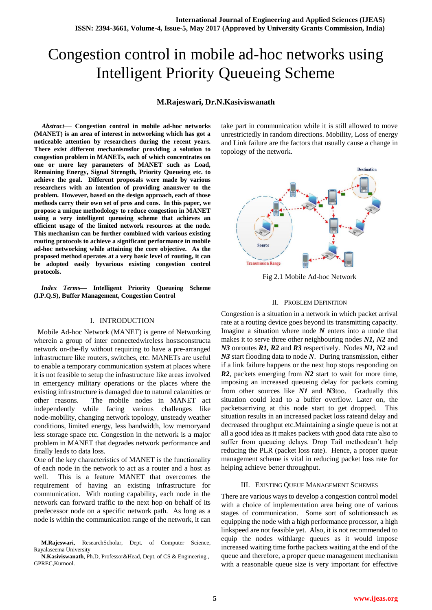# Congestion control in mobile ad-hoc networks using Intelligent Priority Queueing Scheme

#### **M.Rajeswari, Dr.N.Kasiviswanath**

*Abstract*— **Congestion control in mobile ad-hoc networks (MANET) is an area of interest in networking which has got a noticeable attention by researchers during the recent years. There exist different mechanismsfor providing a solution to congestion problem in MANETs, each of which concentrates on one or more key parameters of MANET such as Load, Remaining Energy, Signal Strength, Priority Queueing etc. to achieve the goal. Different proposals were made by various researchers with an intention of providing ananswer to the problem. However, based on the design approach, each of those methods carry their own set of pros and cons. In this paper, we propose a unique methodology to reduce congestion in MANET using a very intelligent queueing scheme that achieves an efficient usage of the limited network resources at the node. This mechanism can be further combined with various existing routing protocols to achieve a significant performance in mobile ad-hoc networking while attaining the core objective. As the proposed method operates at a very basic level of routing, it can be adopted easily byvarious existing congestion control protocols.**

*Index Terms***— Intelligent Priority Queueing Scheme (I.P.Q.S), Buffer Management, Congestion Control**

#### I. INTRODUCTION

 Mobile Ad-hoc Network (MANET) is genre of Networking wherein a group of inter connectedwireless hostsconstructa network on-the-fly without requiring to have a pre-arranged infrastructure like routers, switches, etc. MANETs are useful to enable a temporary communication system at places where it is not feasible to setup the infrastructure like areas involved in emergency military operations or the places where the existing infrastructure is damaged due to natural calamities or other reasons. The mobile nodes in MANET act independently while facing various challenges like node-mobility, changing network topology, unsteady weather conditions, limited energy, less bandwidth, low memoryand less storage space etc. Congestion in the network is a major problem in MANET that degrades network performance and finally leads to data loss.

One of the key characteristics of MANET is the functionality of each node in the network to act as a router and a host as well. This is a feature MANET that overcomes the requirement of having an existing infrastructure for communication. With routing capability, each node in the network can forward traffic to the next hop on behalf of its predecessor node on a specific network path. As long as a node is within the communication range of the network, it can

**M.Rajeswari,** ResearchScholar, Dept. of Computer Science, Rayalaseema University

**N.Kasiviswanath**, Ph.D, Professor&Head, Dept. of CS & Engineering , GPREC,Kurnool.

take part in communication while it is still allowed to move unrestrictedly in random directions. Mobility, Loss of energy and Link failure are the factors that usually cause a change in topology of the network.



Fig 2.1 Mobile Ad-hoc Network

#### II. PROBLEM DEFINITION

Congestion is a situation in a network in which packet arrival rate at a routing device goes beyond its transmitting capacity. Imagine a situation where node *N* enters into a mode that makes it to serve three other neighbouring nodes *N1, N2* and *N3* onroutes *R1, R2* and *R3* respectively. Nodes *N1, N2* and *N3* start flooding data to node *N*. During transmission, either if a link failure happens or the next hop stops responding on *R2*, packets emerging from *N2* start to wait for more time, imposing an increased queueing delay for packets coming from other sources like *N1* and *N3*too. Gradually this situation could lead to a buffer overflow. Later on, the packetsarriving at this node start to get dropped. This situation results in an increased packet loss rateand delay and decreased throughput etc.Maintaining a single queue is not at all a good idea as it makes packets with good data rate also to suffer from queueing delays. Drop Tail methodcan't help reducing the PLR (packet loss rate). Hence, a proper queue management scheme is vital in reducing packet loss rate for helping achieve better throughput.

#### III. EXISTING QUEUE MANAGEMENT SCHEMES

There are various ways to develop a congestion control model with a choice of implementation area being one of various stages of communication. Some sort of solutionssuch as equipping the node with a high performance processor, a high linkspeed are not feasible yet. Also, it is not recommended to equip the nodes withlarge queues as it would impose increased waiting time forthe packets waiting at the end of the queue and therefore, a proper queue management mechanism with a reasonable queue size is very important for effective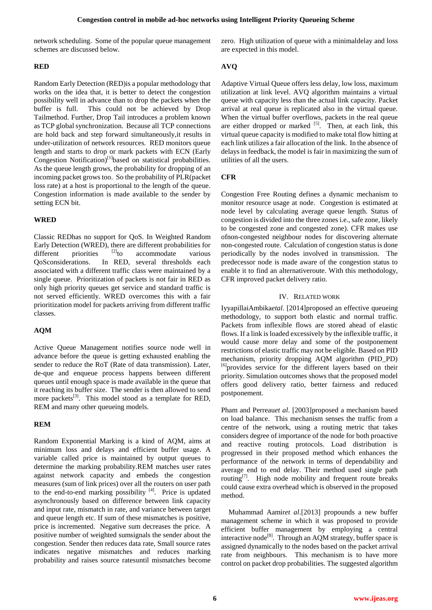network scheduling. Some of the popular queue management schemes are discussed below.

#### **RED**

Random Early Detection (RED)is a popular methodology that works on the idea that, it is better to detect the congestion possibility well in advance than to drop the packets when the buffer is full. This could not be achieved by Drop Tailmethod. Further, Drop Tail introduces a problem known a[s TCP global synchronization.](https://en.wikipedia.org/wiki/TCP_global_synchronization) Because all [TCP](https://en.wikipedia.org/wiki/Transmission_Control_Protocol) connections are hold back and step forward simultaneously,it results in under-utilization of network resources. RED monitors queue length and starts to drop or mark packets with ECN (Early Congestion Notification)<sup>[1]</sup>based on statistical probabilities. As the queue length grows, the probability for dropping of an incoming packet grows too. So the probability of PLR(packet loss rate) at a host is proportional to the length of the queue. Congestion information is made available to the sender by setting ECN bit.

# **WRED**

Classic REDhas no support for QoS. In Weighted Random Early Detection (WRED), there are different probabilities for different priorities  $[2]$ to accommodate various QoSconsiderations. In RED, several thresholds each associated with a different traffic class were maintained by a single queue. Prioritization of packets is not fair in RED as only high priority queues get service and standard traffic is not served efficiently. WRED overcomes this with a fair prioritization model for packets arriving from different traffic classes.

# **AQM**

Active Queue Management notifies source node well in advance before the queue is getting exhausted enabling the sender to reduce the RoT (Rate of data transmission). Later, de-que and enqueue process happens between different queues until enough space is made available in the queue that it reaching its buffer size. The sender is then allowed to send more packets<sup>[3]</sup>. This model stood as a template for RED, REM and many other queueing models.

# **REM**

Random Exponential Marking is a kind of AQM, aims at minimum loss and delays and efficient buffer usage. A variable called price is maintained by output queues to determine the marking probability.REM matches user rates against network capacity and embeds the congestion measures (sum of link prices) over all the routers on user path the end-to-end marking possibility  $[4]$ . Price is updated asynchronously based on difference between link capacity and input rate, mismatch in rate, and variance between target and queue length etc. If sum of these mismatches is positive, price is incremented. Negative sum decreases the price. A positive number of weighted sumsignals the sender about the congestion. Sender then reduces data rate, Small source rates indicates negative mismatches and reduces marking probability and raises source ratesuntil mismatches become zero. High utilization of queue with a minimaldelay and loss are expected in this model.

# **AVQ**

Adaptive Virtual Queue offers less delay, low loss, maximum utilization at link level. AVQ algorithm maintains a virtual queue with capacity less than the actual link capacity. Packet arrival at real queue is replicated also in the virtual queue. When the virtual buffer overflows, packets in the real queue are either dropped or marked  $[5]$ . Then, at each link, this virtual queue capacity is modified to make total flow hitting at each link utilizes a fair allocation of the link. In the absence of delays in feedback, the model is fair in maximizing the sum of utilities of all the users.

# **CFR**

Congestion Free Routing defines a dynamic mechanism to monitor resource usage at node. Congestion is estimated at node level by calculating average queue length. Status of congestion is divided into the three zones i.e., safe zone, likely to be congested zone and congested zone). CFR makes use ofnon-congested neighbour nodes for discovering alternate non-congested route. Calculation of congestion status is done periodically by the nodes involved in transmission. The predecessor node is made aware of the congestion status to enable it to find an alternativeroute. With this methodology, CFR improved packet delivery ratio.

#### IV. RELATED WORK

IyyapillaiAmbika*etal*. [2014]proposed an effective queueing methodology, to support both elastic and normal traffic. Packets from inflexible flows are stored ahead of elastic flows. If a link is loaded excessively by the inflexible traffic, it would cause more delay and some of the postponement restrictions of elastic traffic may not be eligible. Based on PID mechanism, priority dropping AQM algorithm (PID\_PD) <sup>[6]</sup>provides service for the different layers based on their priority. Simulation outcomes shows that the proposed model offers good delivery ratio, better fairness and reduced postponement.

Pham and Perreau*et al*. [2003]proposed a mechanism based on load balance. This mechanism senses the traffic from a centre of the network, using a routing metric that takes considers degree of importance of the node for both proactive and reactive routing protocols. Load distribution is progressed in their proposed method which enhances the performance of the network in terms of dependability and average end to end delay. Their method used single path routing $\left[7\right]$ . High node mobility and frequent route breaks could cause extra overhead which is observed in the proposed method.

Muhammad Aamir*et al*.[2013] propounds a new buffer management scheme in which it was proposed to provide efficient buffer management by employing a central interactive node<sup>[8]</sup>. Through an AQM strategy, buffer space is assigned dynamically to the nodes based on the packet arrival rate from neighbours. This mechanism is to have more control on packet drop probabilities. The suggested algorithm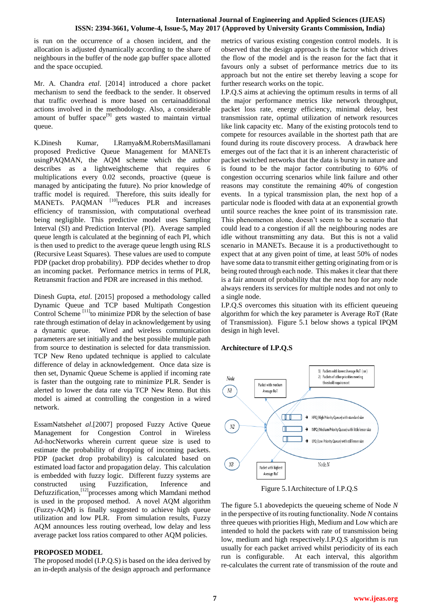# **International Journal of Engineering and Applied Sciences (IJEAS) ISSN: 2394-3661, Volume-4, Issue-5, May 2017 (Approved by University Grants Commission, India)**

is run on the occurrence of a chosen incident, and the allocation is adjusted dynamically according to the share of neighbours in the buffer of the node gap buffer space allotted and the space occupied.

Mr. A. Chandra *etal*. [2014] introduced a chore packet mechanism to send the feedback to the sender. It observed that traffic overhead is more based on certainadditional actions involved in the methodology. Also, a considerable amount of buffer space<sup>[9]</sup> gets wasted to maintain virtual queue.

K.Dinesh Kumar, I.Ramya&M.RobertsMasillamani proposed Predictive Queue Management for MANETs usingPAQMAN, the AQM scheme which the author describes as a lightweightscheme that requires 6 multiplications every 0.02 seconds, proactive (queue is managed by anticipating the future). No prior knowledge of traffic model is required. Therefore, this suits ideally for MANETs. PAOMAN <sup>[10]</sup>reduces PLR and increases efficiency of transmission, with computational overhead being negligible. This predictive model uses Sampling Interval (SI) and Prediction Interval (PI). Average sampled queue length is calculated at the beginning of each PI, which is then used to predict to the average queue length using RLS (Recursive Least Squares). These values are used to compute PDP (packet drop probability). PDP decides whether to drop an incoming packet. Performance metrics in terms of PLR, Retransmit fraction and PDR are increased in this method.

Dinesh Gupta, *etal*. [2015] proposed a methodology called Dynamic Queue and TCP based Multipath Congestion Control Scheme  $[11]$ to minimize PDR by the selection of base rate through estimation of delay in acknowledgement by using a dynamic queue. Wired and wireless communication parameters are set initially and the best possible multiple path from source to destination is selected for data transmission. TCP New Reno updated technique is applied to calculate difference of delay in acknowledgement. Once data size is then set, Dynamic Queue Scheme is applied if incoming rate is faster than the outgoing rate to minimize PLR. Sender is alerted to lower the data rate via TCP New Reno. But this model is aimed at controlling the congestion in a wired network.

EssamNatsheh*et al*.[2007] proposed Fuzzy Active Queue Management for Congestion Control in Wireless Ad-hocNetworks wherein current queue size is used to estimate the probability of dropping of incoming packets. PDP (packet drop probability) is calculated based on estimated load factor and propagation delay. This calculation is embedded with fuzzy logic. Different fuzzy systems are constructed using Fuzzification, Inference and Defuzzification,<sup>[12]</sup>processes among which Mamdani method is used in the proposed method. A novel AQM algorithm (Fuzzy-AQM) is finally suggested to achieve high queue utilization and low PLR. From simulation results, Fuzzy AQM announces less routing overhead, low delay and less average packet loss ratios compared to other AQM policies.

# **PROPOSED MODEL**

The proposed model (I.P.Q.S) is based on the idea derived by an in-depth analysis of the design approach and performance

metrics of various existing congestion control models. It is observed that the design approach is the factor which drives the flow of the model and is the reason for the fact that it favours only a subset of performance metrics due to its approach but not the entire set thereby leaving a scope for further research works on the topic.

I.P.Q.S aims at achieving the optimum results in terms of all the major performance metrics like network throughput, packet loss rate, energy efficiency, minimal delay, best transmission rate, optimal utilization of network resources like link capacity etc. Many of the existing protocols tend to compete for resources available in the shortest path that are found during its route discovery process. A drawback here emerges out of the fact that it is an inherent characteristic of packet switched networks that the data is bursty in nature and is found to be the major factor contributing to 60% of congestion occurring scenarios while link failure and other reasons may constitute the remaining 40% of congestion events. In a typical transmission plan, the next hop of a particular node is flooded with data at an exponential growth until source reaches the knee point of its transmission rate. This phenomenon alone, doesn't seem to be a scenario that could lead to a congestion if all the neighbouring nodes are idle without transmitting any data. But this is not a valid scenario in MANETs. Because it is a productivethought to expect that at any given point of time, at least 50% of nodes have some data to transmit either getting originating from or is being routed through each node. This makes it clear that there is a fair amount of probability that the next hop for any node always renders its services for multiple nodes and not only to a single node.

I.P.Q.S overcomes this situation with its efficient queueing algorithm for which the key parameter is Average RoT (Rate of Transmission). Figure 5.1 below shows a typical IPQM design in high level.

#### **Architecture of I.P.Q.S**



Figure 5.1Architecture of I.P.Q.S

The figure 5.1 abovedepicts the queueing scheme of Node *N* in the perspective of its routing functionality. Node *N* contains three queues with priorities High, Medium and Low which are intended to hold the packets with rate of transmission being low, medium and high respectively.I.P.Q.S algorithm is run usually for each packet arrived whilst periodicity of its each run is configurable. At each interval, this algorithm re-calculates the current rate of transmission of the route and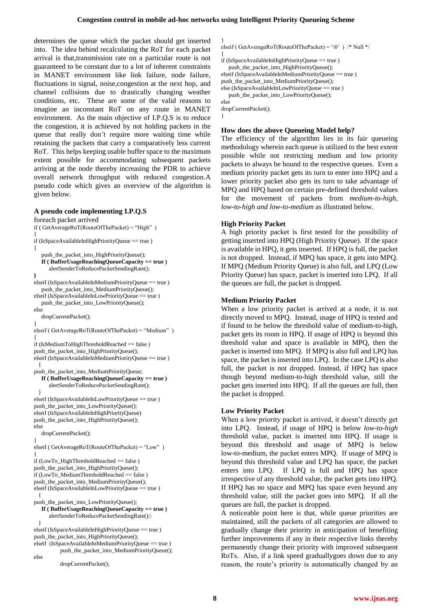}

determines the queue which the packet should get inserted into. The idea behind recalculating the RoT for each packet arrival is that,transmission rate on a particular route is not guaranteed to be constant due to a lot of inherent constraints in MANET environment like link failure, node failure, fluctuations in signal, noise,congestion at the next hop, and channel collisions due to drastically changing weather conditions, etc. These are some of the valid reasons to imagine an inconstant RoT on any route in MANET environment. As the main objective of I.P.Q.S is to reduce the congestion, it is achieved by not holding packets in the queue that really don't require more waiting time while retaining the packets that carry a comparatively less current RoT. This helps keeping usable buffer space to the maximum extent possible for accommodating subsequent packets arriving at the node thereby increasing the PDR to achieve overall network throughput with reduced congestion.A pseudo code which gives an overview of the algorithm is given below.

#### **A pseudo code implementing I.P.Q.S**

foreach packet arrived if ( GetAverageRoT(RouteOfThePacket) = "High" ) { if (IsSpaceAvailableInHighPriorityQueue == true )

push\_the\_packet\_into\_HighPriorityQueue(); **If ( BufferUsageReachingQueueCapacity == true )** alertSenderToReducePacketSendingRate();

**}** elseif (IsSpaceAvailableInMediumPriorityQueue == true ) push the packet into MediumPriorityQueue(); elseif (IsSpaceAvailableInLowPriorityQueue == true )

push\_the\_packet\_into\_LowPriorityQueue(); else

dropCurrentPacket();

```
elseif ( GetAverageRoT(RouteOfThePacket) = "Medium" ) 
{
```
if (IsMediumToHighThresholdReached == false ) push\_the\_packet\_into\_HighPriorityQueue();

elseif (IsSpaceAvailableInMediumPriorityQueue == true ) {

push\_the\_packet\_into\_MediumPriorityQueue; **If ( BufferUsageReachingQueueCapacity == true )** alertSenderToReducePacketSendingRate();

 } elseif (IsSpaceAvailableInLowPriorityQueue == true ) push\_the\_packet\_into\_LowPriorityQueue(); elseif (IsSpaceAvailableInHighPriorityQueue) push\_the\_packet\_into\_HighPriorityQueue();

else

{

}

dropCurrentPacket();

} elseif ( GetAverageRoT(RouteOfThePacket) = "Low" ) {

if (LowTo\_HighThresholdReached == false ) push\_the\_packet\_into\_HighPriorityQueue(); if (LowTo\_MediumThresholdReached == false ) push\_the\_packet\_into\_MediumPriorityQueue(); elseif (IsSpaceAvailableInLowPriorityQueue == true ) {

push\_the\_packet\_into\_LowPriorityQueue();

```
If ( BufferUsageReachingQueueCapacity == true )
     alertSenderToReducePacketSendingRate();\
 }
```
elseif (IsSpaceAvailableInHighPriorityQueue == true ) push\_the\_packet\_into\_HighPriorityQueue(); elseif (IsSpaceAvailableInMediumPriorityQueue == true ) push\_the\_packet\_into\_MediumPriorityQueue(); else

dropCurrentPacket();

elseif ( GetAverageRoT(RouteOfThePacket) = '\0' ) /\* Null \*/

{ if (IsSpaceAvailableInHighPriorityQueue == true ) push\_the\_packet\_into\_HighPriorityQueue(); elseif (IsSpaceAvailableInMediumPriorityQueue == true ) push\_the\_packet\_into\_MediumPriorityQueue(); else (IsSpaceAvailableInLowPriorityQueue == true ) push\_the\_packet\_into\_LowPriorityQueue(); else

dropCurrentPacket(); }

## **How does the above Queueing Model help?**

The efficiency of the algorithm lies in its fair queueing methodology wherein each queue is utilized to the best extent possible while not restricting medium and low priority packets to always be bound to the respective queues. Even a medium priority packet gets its turn to enter into HPQ and a lower priority packet also gets its turn to take advantage of MPQ and HPQ based on certain pre-defined threshold values for the movement of packets from *medium-to-high, low-to-high and low-to-medium* as illustrated below.

# **High Priority Packet**

A high priority packet is first tested for the possibility of getting inserted into HPQ (High Priority Queue). If the space is available in HPQ, it gets inserted. If HPQ is full, the packet is not dropped. Instead, if MPQ has space, it gets into MPQ. If MPQ (Medium Priority Queue) is also full, and LPQ (Low Priority Queue) has space, packet is inserted into LPQ. If all the queues are full, the packet is dropped.

# **Medium Priority Packet**

When a low priority packet is arrived at a node, it is not directly moved to MPQ. Instead, usage of HPQ is tested and if found to be below the threshold value of medium-to-high, packet gets its room in HPQ. If usage of HPQ is beyond this threshold value and space is available in MPQ, then the packet is inserted into MPQ. If MPQ is also full and LPQ has space, the packet is inserted into LPQ. In the case LPQ is also full, the packet is not dropped. Instead, if HPQ has space though beyond medium-to-high threshold value, still the packet gets inserted into HPQ. If all the queues are full, then the packet is dropped.

# **Low Priority Packet**

When a low priority packet is arrived, it doesn't directly get into LPQ. Instead, if usage of HPQ is below *low-to-high* threshold value, packet is inserted into HPQ. If usage is beyond this threshold and usage of MPQ is below low-to-medium, the packet enters MPQ. If usage of MPQ is beyond this threshold value and LPQ has space, the packet enters into LPQ. If LPQ is full and HPQ has space irrespective of any threshold value, the packet gets into HPQ. If HPQ has no space and MPQ has space even beyond any threshold value, still the packet goes into MPQ. If all the queues are full, the packet is dropped.

A noticeable point here is that, while queue priorities are maintained, still the packets of all categories are allowed to gradually change their priority in anticipation of benefiting further improvements if any in their respective links thereby permanently change their priority with improved subsequent RoTs. Also, if a link speed graduallygoes down due to any reason, the route's priority is automatically changed by an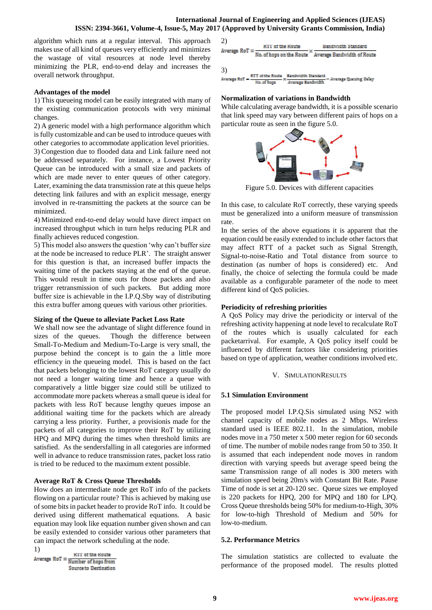algorithm which runs at a regular interval. This approach makes use of all kind of queues very efficiently and minimizes the wastage of vital resources at node level thereby minimizing the PLR, end-to-end delay and increases the overall network throughput.

## **Advantages of the model**

1) This queueing model can be easily integrated with many of the existing communication protocols with very minimal changes.

2) A generic model with a high performance algorithm which is fully customizable and can be used to introduce queues with other categories to accommodate application level priorities. 3) Congestion due to flooded data and Link failure need not be addressed separately. For instance, a Lowest Priority Queue can be introduced with a small size and packets of which are made never to enter queues of other category. Later, examining the data transmission rate at this queue helps detecting link failures and with an explicit message, energy involved in re-transmitting the packets at the source can be minimized.

4) Minimized end-to-end delay would have direct impact on increased throughput which in turn helps reducing PLR and finally achieves reduced congestion.

5) This model also answers the question 'why can't buffer size at the node be increased to reduce PLR'. The straight answer for this question is that, an increased buffer impacts the waiting time of the packets staying at the end of the queue. This would result in time outs for those packets and also trigger retransmission of such packets. But adding more buffer size is achievable in the I.P.Q.Sby way of distributing this extra buffer among queues with various other priorities.

# **Sizing of the Queue to alleviate Packet Loss Rate**

We shall now see the advantage of slight difference found in sizes of the queues. Though the difference between Small-To-Medium and Medium-To-Large is very small, the purpose behind the concept is to gain the a little more efficiency in the queueing model. This is based on the fact that packets belonging to the lowest RoT category usually do not need a longer waiting time and hence a queue with comparatively a little bigger size could still be utilized to accommodate more packets whereas a small queue is ideal for packets with less RoT because lengthy queues impose an additional waiting time for the packets which are already carrying a less priority. Further, a provisionis made for the packets of all categories to improve their RoT by utilizing HPQ and MPQ during the times when threshold limits are satisfied. As the sendersfalling in all categories are informed well in advance to reduce transmission rates, packet loss ratio is tried to be reduced to the maximum extent possible.

# **Average RoT & Cross Queue Thresholds**

How does an intermediate node get RoT info of the packets flowing on a particular route? This is achieved by making use of some bits in packet header to provide RoT info. It could be derived using different mathematical equations. A basic equation may look like equation number given shown and can be easily extended to consider various other parameters that can impact the network scheduling at the node.

1) **KTT** of the Route Average  $RoT = \frac{KTT \text{ of the Route}}{Number \text{ of hops from}}$ Source to Destination



#### **Normalization of variations in Bandwidth**

While calculating average bandwidth, it is a possible scenario that link speed may vary between different pairs of hops on a particular route as seen in the figure 5.0.



Figure 5.0. Devices with different capacities

In this case, to calculate RoT correctly, these varying speeds must be generalized into a uniform measure of transmission rate.

In the series of the above equations it is apparent that the equation could be easily extended to include other factors that may affect RTT of a packet such as Signal Strength, Signal-to-noise-Ratio and Total distance from source to destination (as number of hops is considered) etc. And finally, the choice of selecting the formula could be made available as a configurable parameter of the node to meet different kind of QoS policies.

## **Periodicity of refreshing priorities**

A QoS Policy may drive the periodicity or interval of the refreshing activity happening at node level to recalculate RoT of the routes which is usually calculated for each packetarrival. For example, A QoS policy itself could be influenced by different factors like considering priorities based on type of application, weather conditions involved etc.

#### V. SIMULATIONRESULTS

# **5.1 Simulation Environment**

The proposed model I.P.Q.Sis simulated using NS2 with channel capacity of mobile nodes as 2 Mbps. Wireless standard used is IEEE 802.11. In the simulation, mobile nodes move in a 750 meter x 500 meter region for 60 seconds of time. The number of mobile nodes range from 50 to 350. It is assumed that each independent node moves in random direction with varying speeds but average speed being the same Transmission range of all nodes is 300 meters with simulation speed being 20m/s with Constant Bit Rate. Pause Time of node is set at 20-120 sec. Queue sizes we employed is 220 packets for HPQ, 200 for MPQ and 180 for LPQ. Cross Queue thresholds being 50% for medium-to-High, 30% for low-to-high Threshold of Medium and 50% for low-to-medium.

# **5.2. Performance Metrics**

The simulation statistics are collected to evaluate the performance of the proposed model. The results plotted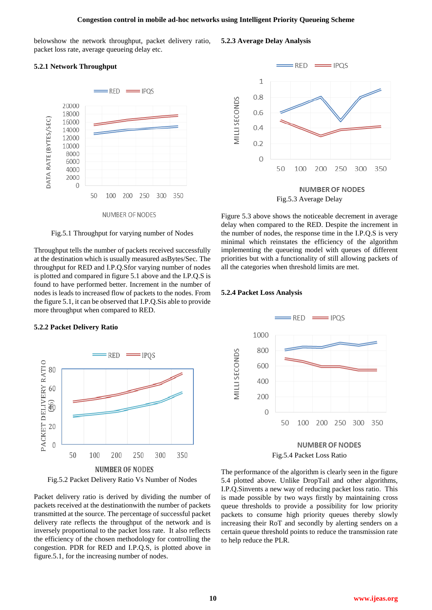belowshow the network throughput, packet delivery ratio, packet loss rate, average queueing delay etc.

#### **5.2.1 Network Throughput**



Fig.5.1 Throughput for varying number of Nodes

Throughput tells the number of packets received successfully at the destination which is usually measured asBytes/Sec. The throughput for RED and I.P.Q.Sfor varying number of nodes is plotted and compared in figure 5.1 above and the I.P.Q.S is found to have performed better. Increment in the number of nodes is leads to increased flow of packets to the nodes. From the figure 5.1, it can be observed that I.P.Q.Sis able to provide more throughput when compared to RED.

#### **5.2.2 Packet Delivery Ratio**



Fig.5.2 Packet Delivery Ratio Vs Number of Nodes

Packet delivery ratio is derived by dividing the number of packets received at the destinationwith the number of packets transmitted at the source. The percentage of successful packet delivery rate reflects the throughput of the network and is inversely proportional to the packet loss rate. It also reflects the efficiency of the chosen methodology for controlling the congestion. PDR for RED and I.P.Q.S, is plotted above in figure.5.1, for the increasing number of nodes.



Figure 5.3 above shows the noticeable decrement in average delay when compared to the RED. Despite the increment in the number of nodes, the response time in the I.P.Q.S is very minimal which reinstates the efficiency of the algorithm implementing the queueing model with queues of different priorities but with a functionality of still allowing packets of all the categories when threshold limits are met.

#### **5.2.4 Packet Loss Analysis**



Fig.5.4 Packet Loss Ratio

The performance of the algorithm is clearly seen in the figure 5.4 plotted above. Unlike DropTail and other algorithms, I.P.Q.Sinvents a new way of reducing packet loss ratio. This is made possible by two ways firstly by maintaining cross queue thresholds to provide a possibility for low priority packets to consume high priority queues thereby slowly increasing their RoT and secondly by alerting senders on a certain queue threshold points to reduce the transmission rate to help reduce the PLR.

**5.2.3 Average Delay Analysis**